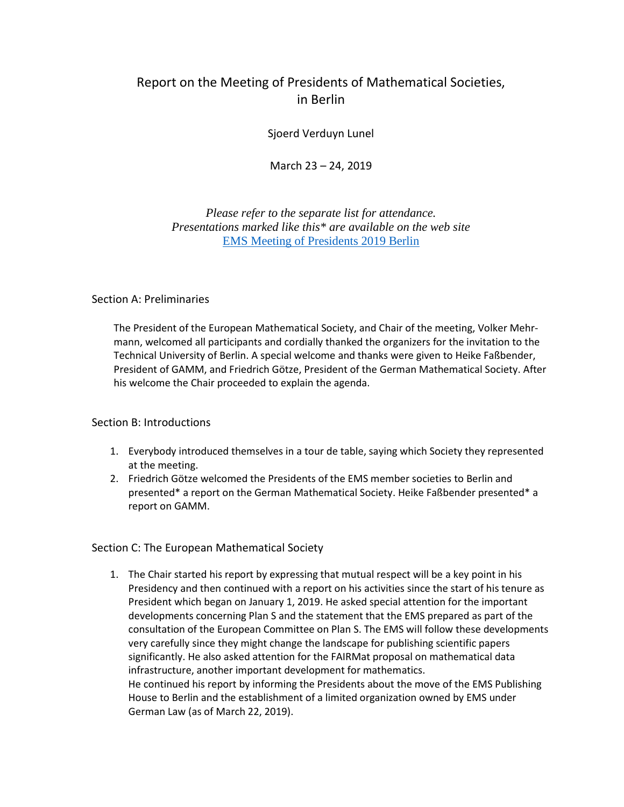# Report on the Meeting of Presidents of Mathematical Societies, in Berlin

Sjoerd Verduyn Lunel

March 23 – 24, 2019

*Please refer to the separate list for attendance. Presentations marked like this\* are available on the web site*  [EMS Meeting of Presidents 2019 Berlin](https://euro-math-soc.eu/ems-meeting-presidents-tu-berlin-march-23-24-2019)

### Section A: Preliminaries

The President of the European Mathematical Society, and Chair of the meeting, Volker Mehrmann, welcomed all participants and cordially thanked the organizers for the invitation to the Technical University of Berlin. A special welcome and thanks were given to Heike Faßbender, President of GAMM, and Friedrich Götze, President of the German Mathematical Society. After his welcome the Chair proceeded to explain the agenda.

### Section B: Introductions

- 1. Everybody introduced themselves in a tour de table, saying which Society they represented at the meeting.
- 2. Friedrich Götze welcomed the Presidents of the EMS member societies to Berlin and presented\* a report on the German Mathematical Society. Heike Faßbender presented\* a report on GAMM.

### Section C: The European Mathematical Society

1. The Chair started his report by expressing that mutual respect will be a key point in his Presidency and then continued with a report on his activities since the start of his tenure as President which began on January 1, 2019. He asked special attention for the important developments concerning Plan S and the statement that the EMS prepared as part of the consultation of the European Committee on Plan S. The EMS will follow these developments very carefully since they might change the landscape for publishing scientific papers significantly. He also asked attention for the FAIRMat proposal on mathematical data infrastructure, another important development for mathematics. He continued his report by informing the Presidents about the move of the EMS Publishing House to Berlin and the establishment of a limited organization owned by EMS under German Law (as of March 22, 2019).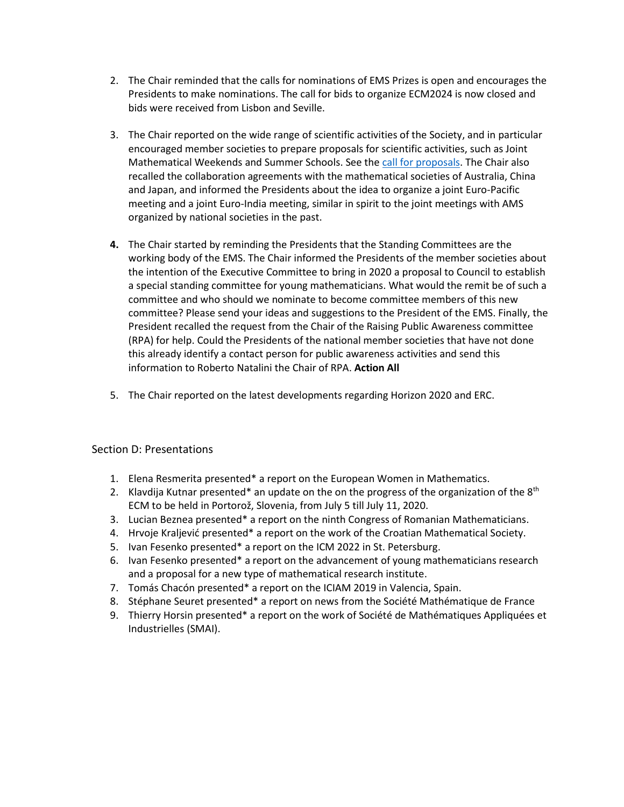- 2. The Chair reminded that the calls for nominations of EMS Prizes is open and encourages the Presidents to make nominations. The call for bids to organize ECM2024 is now closed and bids were received from Lisbon and Seville.
- 3. The Chair reported on the wide range of scientific activities of the Society, and in particular encouraged member societies to prepare proposals for scientific activities, such as Joint Mathematical Weekends and Summer Schools. See the [call for proposals.](https://euro-math-soc.eu/call-proposals-scientific-activities-2020) The Chair also recalled the collaboration agreements with the mathematical societies of Australia, China and Japan, and informed the Presidents about the idea to organize a joint Euro-Pacific meeting and a joint Euro-India meeting, similar in spirit to the joint meetings with AMS organized by national societies in the past.
- **4.** The Chair started by reminding the Presidents that the Standing Committees are the working body of the EMS. The Chair informed the Presidents of the member societies about the intention of the Executive Committee to bring in 2020 a proposal to Council to establish a special standing committee for young mathematicians. What would the remit be of such a committee and who should we nominate to become committee members of this new committee? Please send your ideas and suggestions to the President of the EMS. Finally, the President recalled the request from the Chair of the Raising Public Awareness committee (RPA) for help. Could the Presidents of the national member societies that have not done this already identify a contact person for public awareness activities and send this information to Roberto Natalini the Chair of RPA. **Action All**
- 5. The Chair reported on the latest developments regarding Horizon 2020 and ERC.

### Section D: Presentations

- 1. Elena Resmerita presented\* a report on the European Women in Mathematics.
- 2. Klavdija Kutnar presented\* an update on the on the progress of the organization of the  $8<sup>th</sup>$ ECM to be held in Portorož, Slovenia, from July 5 till July 11, 2020.
- 3. Lucian Beznea presented\* a report on the ninth Congress of Romanian Mathematicians.
- 4. Hrvoje Kraljević presented\* a report on the work of the Croatian Mathematical Society.
- 5. Ivan Fesenko presented\* a report on the ICM 2022 in St. Petersburg.
- 6. Ivan Fesenko presented\* a report on the advancement of young mathematicians research and a proposal for a new type of mathematical research institute.
- 7. Tomás Chacón presented\* a report on the ICIAM 2019 in Valencia, Spain.
- 8. Stéphane Seuret presented\* a report on news from the Société Mathématique de France
- 9. Thierry Horsin presented\* a report on the work of Société de Mathématiques Appliquées et Industrielles (SMAI).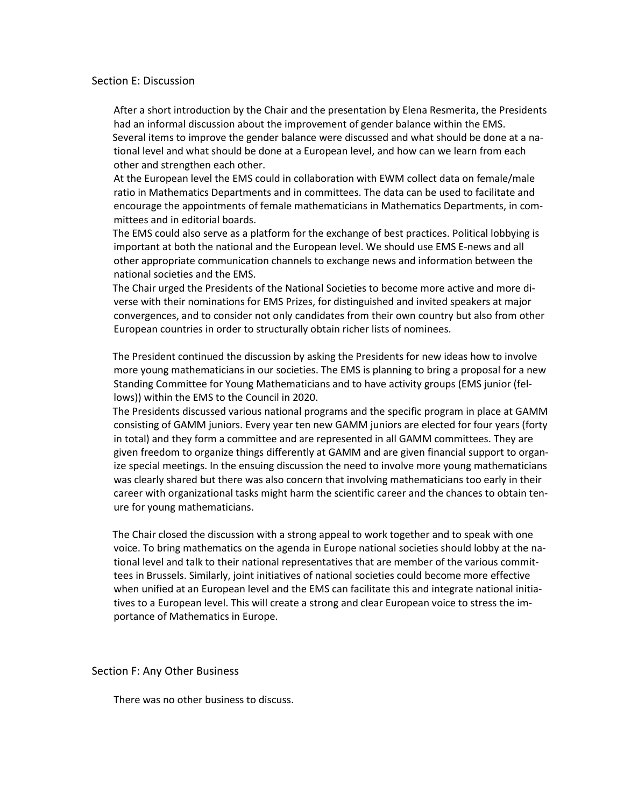#### Section E: Discussion

After a short introduction by the Chair and the presentation by Elena Resmerita, the Presidents had an informal discussion about the improvement of gender balance within the EMS. Several items to improve the gender balance were discussed and what should be done at a national level and what should be done at a European level, and how can we learn from each other and strengthen each other.

At the European level the EMS could in collaboration with EWM collect data on female/male ratio in Mathematics Departments and in committees. The data can be used to facilitate and encourage the appointments of female mathematicians in Mathematics Departments, in committees and in editorial boards.

The EMS could also serve as a platform for the exchange of best practices. Political lobbying is important at both the national and the European level. We should use EMS E-news and all other appropriate communication channels to exchange news and information between the national societies and the EMS.

The Chair urged the Presidents of the National Societies to become more active and more diverse with their nominations for EMS Prizes, for distinguished and invited speakers at major convergences, and to consider not only candidates from their own country but also from other European countries in order to structurally obtain richer lists of nominees.

The President continued the discussion by asking the Presidents for new ideas how to involve more young mathematicians in our societies. The EMS is planning to bring a proposal for a new Standing Committee for Young Mathematicians and to have activity groups (EMS junior (fellows)) within the EMS to the Council in 2020.

The Presidents discussed various national programs and the specific program in place at GAMM consisting of GAMM juniors. Every year ten new GAMM juniors are elected for four years (forty in total) and they form a committee and are represented in all GAMM committees. They are given freedom to organize things differently at GAMM and are given financial support to organize special meetings. In the ensuing discussion the need to involve more young mathematicians was clearly shared but there was also concern that involving mathematicians too early in their career with organizational tasks might harm the scientific career and the chances to obtain tenure for young mathematicians.

The Chair closed the discussion with a strong appeal to work together and to speak with one voice. To bring mathematics on the agenda in Europe national societies should lobby at the national level and talk to their national representatives that are member of the various committees in Brussels. Similarly, joint initiatives of national societies could become more effective when unified at an European level and the EMS can facilitate this and integrate national initiatives to a European level. This will create a strong and clear European voice to stress the importance of Mathematics in Europe.

Section F: Any Other Business

There was no other business to discuss.